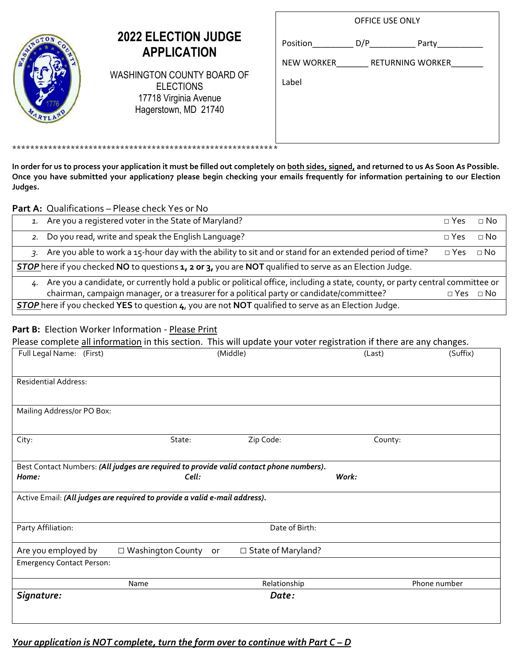| STROTON COCH |
|--------------|
|              |
|              |
|              |
| MARYLAND     |

## **2022 ELECTION JUDGE APPLICATION**

WASHINGTON COUNTY BOARD OF ELECTIONS 17718 Virginia Avenue Hagerstown, MD 21740

\*\*\*\*\*\*\*\*\*\*\*\*\*\*\*\*\*\*\*\*\*\*\*\*\*\*\*\*\*\*\*\*\*\*\*\*\*\*\*\*\*\*\*\*\*\*\*\*\*\*\*\*\*\*\*\*\*\*\*

|            | OFFICE USE ONLY         |       |  |
|------------|-------------------------|-------|--|
| Position   | D/P                     | Party |  |
| NEW WORKER | <b>RETURNING WORKER</b> |       |  |
| Label      |                         |       |  |
|            |                         |       |  |
|            |                         |       |  |
|            |                         |       |  |

**In order for us to process your application it must be filled out completely on both sides, signed, and returned to us As Soon As Possible. Once you have submitted your application7 please begin checking your emails frequently for information pertaining to our Election Judges.**

## **Part A:** Qualifications – Please check Yes or No

| 1. Are you a registered voter in the State of Maryland?                                                                          | $\sqcap$ Yes         | $\Box$ No   |  |
|----------------------------------------------------------------------------------------------------------------------------------|----------------------|-------------|--|
| 2. Do you read, write and speak the English Language?                                                                            | $\sqcap$ Yes         | $\Box$ No   |  |
| 3. Are you able to work a 15-hour day with the ability to sit and or stand for an extended period of time?                       | $\Box$ Yes           | $\sqcap$ No |  |
| <b>STOP</b> here if you checked NO to questions 1, 2 or 3, you are NOT qualified to serve as an Election Judge.                  |                      |             |  |
| 4. Are you a candidate, or currently hold a public or political office, including a state, county, or party central committee or |                      |             |  |
| chairman, campaign manager, or a treasurer for a political party or candidate/committee?                                         | $\Box$ Yes $\Box$ No |             |  |
| <b>STOP</b> here if you checked YES to question 4, you are not NOT qualified to serve as an Election Judge.                      |                      |             |  |

## **Part B:** Election Worker Information - Please Print

Please complete all information in this section. This will update your voter registration if there are any changes.

| Full Legal Name: (First)         |                                                                                         | (Middle)             | (Last)  | (Suffix)     |
|----------------------------------|-----------------------------------------------------------------------------------------|----------------------|---------|--------------|
|                                  |                                                                                         |                      |         |              |
| <b>Residential Address:</b>      |                                                                                         |                      |         |              |
|                                  |                                                                                         |                      |         |              |
| Mailing Address/or PO Box:       |                                                                                         |                      |         |              |
|                                  |                                                                                         |                      |         |              |
| City:                            | State:                                                                                  | Zip Code:            | County: |              |
|                                  |                                                                                         |                      |         |              |
|                                  | Best Contact Numbers: (All judges are required to provide valid contact phone numbers). |                      |         |              |
| Home:                            | Cell:                                                                                   |                      | Work:   |              |
|                                  | Active Email: (All judges are required to provide a valid e-mail address).              |                      |         |              |
|                                  |                                                                                         |                      |         |              |
| Party Affiliation:               |                                                                                         | Date of Birth:       |         |              |
|                                  |                                                                                         |                      |         |              |
| Are you employed by              | □ Washington County or                                                                  | □ State of Maryland? |         |              |
| <b>Emergency Contact Person:</b> |                                                                                         |                      |         |              |
|                                  | Name                                                                                    | Relationship         |         | Phone number |
| Signature:                       |                                                                                         | Date:                |         |              |
|                                  |                                                                                         |                      |         |              |
|                                  |                                                                                         |                      |         |              |

*Your application is NOT complete, turn the form over to continue with Part C – D*